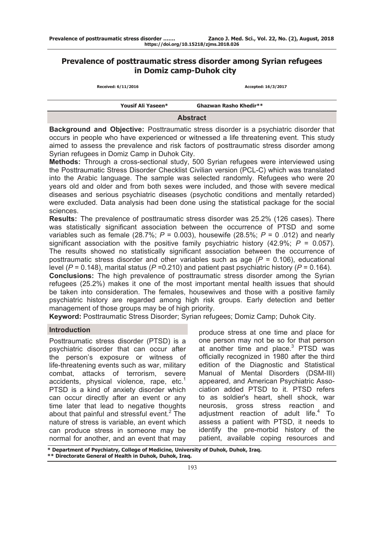# **Prevalence of posttraumatic stress disorder among Syrian refugees in Domiz camp-Duhok city**

| Received: 6/11/2016 | Accepted: 16/3/2017    |  |
|---------------------|------------------------|--|
| Yousif Ali Yaseen*  | Ghazwan Rasho Khedir** |  |
| <b>Abstract</b>     |                        |  |

**Background and Objective:** Posttraumatic stress disorder is a psychiatric disorder that occurs in people who have experienced or witnessed a life threatening event. This study aimed to assess the prevalence and risk factors of posttraumatic stress disorder among Syrian refugees in Domiz Camp in Duhok City.

**Methods:** Through a cross-sectional study, 500 Syrian refugees were interviewed using the Posttraumatic Stress Disorder Checklist Civilian version (PCL-C) which was translated into the Arabic language. The sample was selected randomly. Refugees who were 20 years old and older and from both sexes were included, and those with severe medical diseases and serious psychiatric diseases (psychotic conditions and mentally retarded) were excluded. Data analysis had been done using the statistical package for the social sciences.

**Results:** The prevalence of posttraumatic stress disorder was 25.2% (126 cases). There was statistically significant association between the occurrence of PTSD and some variables such as female (28.7%;  $P = 0.003$ ), housewife (28.5%;  $P = 0.012$ ) and nearly significant association with the positive family psychiatric history  $(42.9\%; P = 0.057)$ . The results showed no statistically significant association between the occurrence of posttraumatic stress disorder and other variables such as age  $(P = 0.106)$ , educational level (*P* = 0.148), marital status (*P* =0.210) and patient past psychiatric history (*P* = 0.164). **Conclusions:** The high prevalence of posttraumatic stress disorder among the Syrian refugees (25.2%) makes it one of the most important mental health issues that should be taken into consideration. The females, housewives and those with a positive family psychiatric history are regarded among high risk groups. Early detection and better management of those groups may be of high priority.

**Keyword:** Posttraumatic Stress Disorder; Syrian refugees; Domiz Camp; Duhok City.

#### **Introduction**

Posttraumatic stress disorder (PTSD) is a psychiatric disorder that can occur after the person's exposure or witness of life-threatening events such as war, military combat, attacks of terrorism, severe accidents, physical violence, rape, etc.<sup>1</sup> PTSD is a kind of anxiety disorder which can occur directly after an event or any time later that lead to negative thoughts about that painful and stressful event.<sup>2</sup> The nature of stress is variable, an event which can produce stress in someone may be normal for another, and an event that may

produce stress at one time and place for one person may not be so for that person at another time and place. $3$  PTSD was officially recognized in 1980 after the third edition of the Diagnostic and Statistical Manual of Mental Disorders (DSM-III) appeared, and American Psychiatric Association added PTSD to it. PTSD refers to as soldier's heart, shell shock, war neurosis, gross stress reaction and adjustment reaction of adult life.<sup>4</sup> To assess a patient with PTSD, it needs to identify the pre-morbid history of the patient, available coping resources and

**\* Department of Psychiatry, College of Medicine, University of Duhok, Duhok, Iraq. \*\* Directorate General of Health in Duhok, Duhok, Iraq.**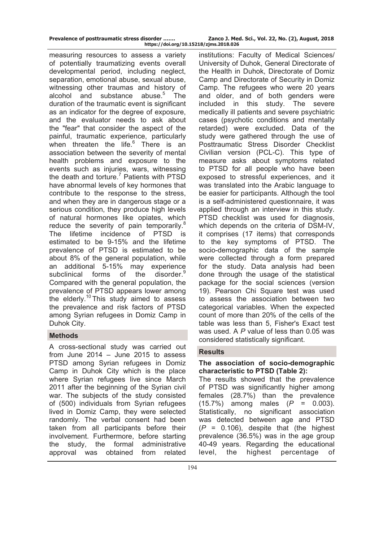| Prevalence of posttraumatic stress disorder | Zanco J. Med. Sci., Vol. 22, No. (2), August, 2018 |  |  |  |
|---------------------------------------------|----------------------------------------------------|--|--|--|
| https://doi.org/10.15218/zjms.2018.026      |                                                    |  |  |  |

measuring resources to assess a variety of potentially traumatizing events overall developmental period, including neglect, separation, emotional abuse, sexual abuse, witnessing other traumas and history of alcohol and substance abuse.<sup>5</sup> The duration of the traumatic event is significant as an indicator for the degree of exposure, and the evaluator needs to ask about the "fear" that consider the aspect of the painful, traumatic experience, particularly when threaten the life. $6$  There is an association between the severity of mental health problems and exposure to the events such as injuries, wars, witnessing the death and torture.<sup>7</sup> Patients with PTSD have abnormal levels of key hormones that contribute to the response to the stress, and when they are in dangerous stage or a serious condition, they produce high levels of natural hormones like opiates, which reduce the severity of pain temporarily.<sup>8</sup> The lifetime incidence of PTSD is estimated to be 9-15% and the lifetime prevalence of PTSD is estimated to be about 8% of the general population, while an additional 5-15% may experience subclinical forms of the disorder.<sup>9</sup> Compared with the general population, the prevalence of PTSD appears lower among the elderly.<sup>10</sup> This study aimed to assess the prevalence and risk factors of PTSD among Syrian refugees in Domiz Camp in Duhok City.

A cross-sectional study was carried out from June 2014 – June 2015 to assess PTSD among Syrian refugees in Domiz Camp in Duhok City which is the place where Syrian refugees live since March 2011 after the beginning of the Syrian civil war. The subjects of the study consisted of (500) individuals from Syrian refugees lived in Domiz Camp, they were selected randomly. The verbal consent had been taken from all participants before their involvement. Furthermore, before starting the study, the formal administrative approval was obtained from related

institutions: Faculty of Medical Sciences/ University of Duhok, General Directorate of the Health in Duhok, Directorate of Domiz Camp and Directorate of Security in Domiz Camp. The refugees who were 20 years and older, and of both genders were included in this study. The severe medically ill patients and severe psychiatric cases (psychotic conditions and mentally retarded) were excluded. Data of the study were gathered through the use of Posttraumatic Stress Disorder Checklist Civilian version (PCL-C). This type of measure asks about symptoms related to PTSD for all people who have been exposed to stressful experiences, and it was translated into the Arabic language to be easier for participants. Although the tool is a self-administered questionnaire, it was applied through an interview in this study. PTSD checklist was used for diagnosis, which depends on the criteria of DSM-IV, it comprises (17 items) that corresponds to the key symptoms of PTSD. The socio-demographic data of the sample were collected through a form prepared for the study. Data analysis had been done through the usage of the statistical package for the social sciences (version 19). Pearson Chi Square test was used to assess the association between two categorical variables. When the expected count of more than 20% of the cells of the table was less than 5, Fisher's Exact test was used. A *P* value of less than 0.05 was considered statistically significant. **Methods** 

## **Results**

#### **The association of socio-demographic characteristic to PTSD (Table 2):**

The results showed that the prevalence of PTSD was significantly higher among females (28.7%) than the prevalence (15.7%) among males (*P* = 0.003). Statistically, no significant association was detected between age and PTSD  $(P = 0.106)$ , despite that (the highest prevalence (36.5%) was in the age group 40-49 years. Regarding the educational level, the highest percentage of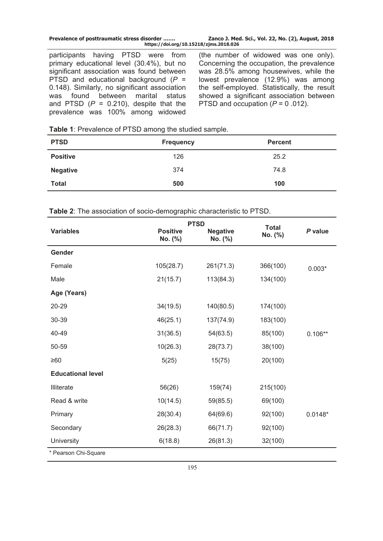| Prevalence of posttraumatic stress disorder | Zanco J. Med. Sci., Vol. 22, No. (2), August, 2018 |  |  |  |  |
|---------------------------------------------|----------------------------------------------------|--|--|--|--|
| https://doi.org/10.15218/zjms.2018.026      |                                                    |  |  |  |  |

participants having PTSD were from primary educational level (30.4%), but no significant association was found between PTSD and educational background (*P* = 0.148). Similarly, no significant association was found between marital status and PTSD  $(P = 0.210)$ , despite that the prevalence was 100% among widowed

(the number of widowed was one only). Concerning the occupation, the prevalence was 28.5% among housewives, while the lowest prevalence (12.9%) was among the self-employed. Statistically, the result showed a significant association between PTSD and occupation (*P* = 0 .012).

| Table 1: Prevalence of PTSD among the studied sample. |
|-------------------------------------------------------|
|-------------------------------------------------------|

| <b>PTSD</b>     | <b>Frequency</b> | <b>Percent</b> |
|-----------------|------------------|----------------|
| <b>Positive</b> | 126              | 25.2           |
| <b>Negative</b> | 374              | 74.8           |
| <b>Total</b>    | 500              | 100            |

|                          |                            | <b>PTSD</b>                | <b>Total</b> |           |
|--------------------------|----------------------------|----------------------------|--------------|-----------|
| <b>Variables</b>         | <b>Positive</b><br>No. (%) | <b>Negative</b><br>No. (%) | No. (%)      | P value   |
| Gender                   |                            |                            |              |           |
| Female                   | 105(28.7)                  | 261(71.3)                  | 366(100)     | $0.003*$  |
| Male                     | 21(15.7)                   | 113(84.3)                  | 134(100)     |           |
| Age (Years)              |                            |                            |              |           |
| 20-29                    | 34(19.5)                   | 140(80.5)                  | 174(100)     |           |
| 30-39                    | 46(25.1)                   | 137(74.9)                  | 183(100)     |           |
| 40-49                    | 31(36.5)                   | 54(63.5)                   | 85(100)      | $0.106**$ |
| 50-59                    | 10(26.3)                   | 28(73.7)                   | 38(100)      |           |
| $\geq 60$                | 5(25)                      | 15(75)                     | 20(100)      |           |
| <b>Educational level</b> |                            |                            |              |           |
| Illiterate               | 56(26)                     | 159(74)                    | 215(100)     |           |
| Read & write             | 10(14.5)                   | 59(85.5)                   | 69(100)      |           |
| Primary                  | 28(30.4)                   | 64(69.6)                   | 92(100)      | $0.0148*$ |
| Secondary                | 26(28.3)                   | 66(71.7)                   | 92(100)      |           |
| University               | 6(18.8)                    | 26(81.3)                   | 32(100)      |           |
| * Pearson Chi-Square     |                            |                            |              |           |

**Table 2**: The association of socio-demographic characteristic to PTSD.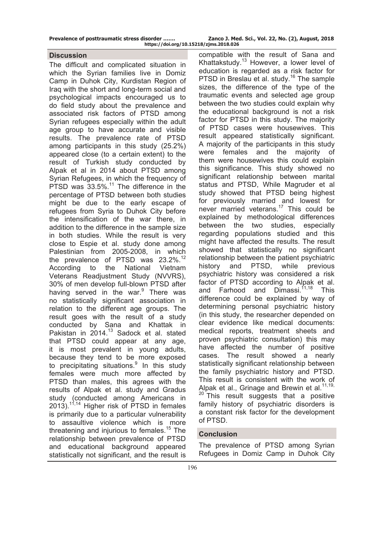| Prevalence of posttraumatic stress disorder | Zanco J. Med. Sci., Vol. 22, No. (2), August, 2018 |  |  |  |
|---------------------------------------------|----------------------------------------------------|--|--|--|
| https://doi.org/10.15218/zjms.2018.026      |                                                    |  |  |  |

### **Discussion**

The difficult and complicated situation in which the Syrian families live in Domiz Camp in Duhok City, Kurdistan Region of Iraq with the short and long-term social and psychological impacts encouraged us to do field study about the prevalence and associated risk factors of PTSD among Syrian refugees especially within the adult age group to have accurate and visible results. The prevalence rate of PTSD among participants in this study (25.2%) appeared close (to a certain extent) to the result of Turkish study conducted by Alpak et al in 2014 about PTSD among Syrian Refugees, in which the frequency of PTSD was  $33.5\%$ .<sup>11</sup> The difference in the percentage of PTSD between both studies might be due to the early escape of refugees from Syria to Duhok City before the intensification of the war there, in addition to the difference in the sample size in both studies. While the result is very close to Espie et al. study done among Palestinian from 2005-2008, in which the prevalence of PTSD was 23.2%.<sup>12</sup> According to the National Vietnam Veterans Readjustment Study (NVVRS), 30% of men develop full-blown PTSD after having served in the war. $9$  There was no statistically significant association in relation to the different age groups. The result goes with the result of a study conducted by Sana and Khattak in Pakistan in 2014.<sup>13</sup> Sadock et al. stated that PTSD could appear at any age, it is most prevalent in young adults, because they tend to be more exposed to precipitating situations.<sup>9</sup> In this study females were much more affected by PTSD than males, this agrees with the results of Alpak et al. study and Gradus study (conducted among Americans in  $2013$ ).<sup>11,14</sup> Higher risk of PTSD in females is primarily due to a particular vulnerability to assaultive violence which is more threatening and injurious to females.<sup>15</sup> The relationship between prevalence of PTSD and educational background appeared statistically not significant, and the result is

compatible with the result of Sana and Khattakstudy.13 However, a lower level of education is regarded as a risk factor for PTSD in Breslau et al. study.<sup>16</sup> The sample sizes, the difference of the type of the traumatic events and selected age group between the two studies could explain why the educational background is not a risk factor for PTSD in this study. The majority of PTSD cases were housewives. This result appeared statistically significant. A majority of the participants in this study were females and the majority of them were housewives this could explain this significance. This study showed no significant relationship between marital status and PTSD, While Magruder et al study showed that PTSD being highest for previously married and lowest for never married veterans.<sup>17</sup> This could be explained by methodological differences between the two studies, especially regarding populations studied and this might have affected the results. The result showed that statistically no significant relationship between the patient psychiatric history and PTSD, while previous psychiatric history was considered a risk factor of PTSD according to Alpak et al. and Farhood and Dimassi. $11,18$  This difference could be explained by way of determining personal psychiatric history (in this study, the researcher depended on clear evidence like medical documents: medical reports, treatment sheets and proven psychiatric consultation) this may have affected the number of positive cases. The result showed a nearly statistically significant relationship between the family psychiatric history and PTSD. This result is consistent with the work of Alpak et al., Grinage and Brewin et al.<sup>11,19,</sup> <sup>20</sup> This result suggests that a positive family history of psychiatric disorders is a constant risk factor for the development of PTSD.

## **Conclusion**

The prevalence of PTSD among Syrian Refugees in Domiz Camp in Duhok City